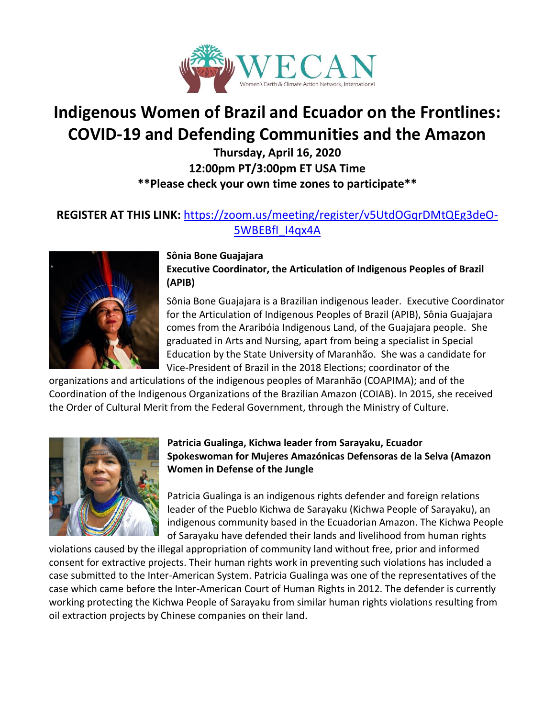

# **Indigenous Women of Brazil and Ecuador on the Frontlines: COVID-19 and Defending Communities and the Amazon**

**Thursday, April 16, 2020 12:00pm PT/3:00pm ET USA Time \*\*Please check your own time zones to participate\*\***

# **REGISTER AT THIS LINK:** [https://zoom.us/meeting/register/v5UtdOGqrDMtQEg3deO-](https://zoom.us/meeting/register/v5UtdOGqrDMtQEg3deO-5WBEBfI_I4qx4A)[5WBEBfI\\_I4qx4A](https://zoom.us/meeting/register/v5UtdOGqrDMtQEg3deO-5WBEBfI_I4qx4A)



**Sônia Bone Guajajara Executive Coordinator, the Articulation of Indigenous Peoples of Brazil (APIB)**

Sônia Bone Guajajara is a Brazilian indigenous leader. Executive Coordinator for the Articulation of Indigenous Peoples of Brazil (APIB), Sônia Guajajara comes from the Araribóia Indigenous Land, of the Guajajara people. She graduated in Arts and Nursing, apart from being a specialist in Special Education by the State University of Maranhão. She was a candidate for Vice-President of Brazil in the 2018 Elections; coordinator of the

organizations and articulations of the indigenous peoples of Maranhão (COAPIMA); and of the Coordination of the Indigenous Organizations of the Brazilian Amazon (COIAB). In 2015, she received the Order of Cultural Merit from the Federal Government, through the Ministry of Culture.



## **Patricia Gualinga, Kichwa leader from Sarayaku, Ecuador Spokeswoman for Mujeres Amazónicas Defensoras de la Selva (Amazon Women in Defense of the Jungle**

Patricia Gualinga is an indigenous rights defender and foreign relations leader of the Pueblo Kichwa de Sarayaku (Kichwa People of Sarayaku), an indigenous community based in the Ecuadorian Amazon. The Kichwa People of Sarayaku have defended their lands and livelihood from human rights

violations caused by the illegal appropriation of community land without free, prior and informed consent for extractive projects. Their human rights work in preventing such violations has included a case submitted to the Inter-American System. Patricia Gualinga was one of the representatives of the case which came before the Inter-American Court of Human Rights in 2012. The defender is currently working protecting the Kichwa People of Sarayaku from similar human rights violations resulting from oil extraction projects by Chinese companies on their land.